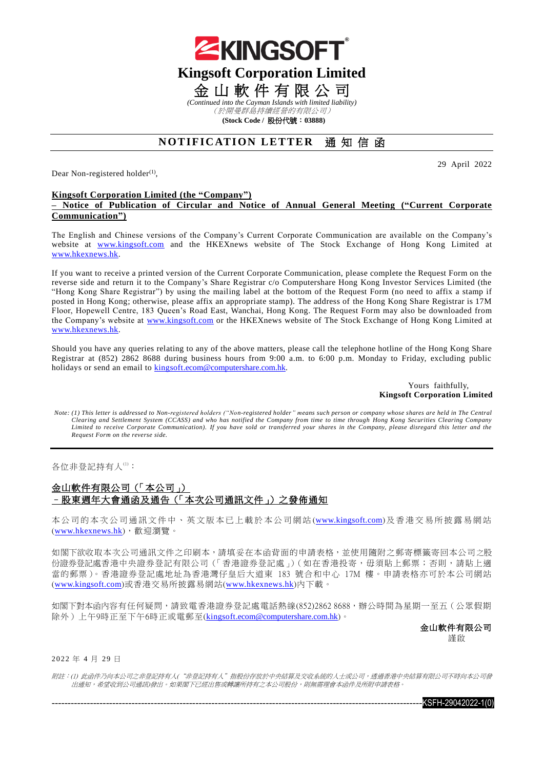

(於開曼群島持續經營的有限公司)

**(Stock Code /** 股份代號:**03888)**

# **NOTIFICATION LETTER** 通知信函

Dear Non-registered holder<sup>(1)</sup>,

29 April 2022

### **Kingsoft Corporation Limited (the "Company")**

**– Notice of Publication of Circular and Notice of Annual General Meeting ("Current Corporate Communication")**

The English and Chinese versions of the Company's Current Corporate Communication are available on the Company's website at [www.kingsoft.com](http://www.kingsoft.com/) and the HKEXnews website of The Stock Exchange of Hong Kong Limited at [www.hkexnews.hk.](http://www.hkexnews.hk/)

If you want to receive a printed version of the Current Corporate Communication, please complete the Request Form on the reverse side and return it to the Company's Share Registrar c/o Computershare Hong Kong Investor Services Limited (the "Hong Kong Share Registrar") by using the mailing label at the bottom of the Request Form (no need to affix a stamp if posted in Hong Kong; otherwise, please affix an appropriate stamp). The address of the Hong Kong Share Registrar is 17M Floor, Hopewell Centre, 183 Queen's Road East, Wanchai, Hong Kong. The Request Form may also be downloaded from the Company's website at [www.kingsoft.com](http://www.kingsoft.com/) or the HKEXnews website of The Stock Exchange of Hong Kong Limited at [www.hkexnews.hk.](http://www.hkexnews.hk/)

Should you have any queries relating to any of the above matters, please call the telephone hotline of the Hong Kong Share Registrar at (852) 2862 8688 during business hours from 9:00 a.m. to 6:00 p.m. Monday to Friday, excluding public holidays or send an email to [kingsoft.ecom@computershare.com.hk.](mailto:kingsoft.ecom@computershare.com.hk)

#### Yours faithfully, **Kingsoft Corporation Limited**

*Note: (1) This letter is addressed to Non-registered holders ("Non-registered holder" means such person or company whose shares are held in The Central Clearing and Settlement System (CCASS) and who has notified the Company from time to time through Hong Kong Securities Clearing Company Limited to receive Corporate Communication). If you have sold or transferred your shares in the Company, please disregard this letter and the Request Form on the reverse side.*

各位非登記持有人(1):

## 金山軟件有限公司(「本公司」) –股東週年大會通函及通告(「本次公司通訊文件」)之發佈通知

本公司的本次公司通訊文件中、英文版本已上載於本公司網站([www.kingsoft.com](http://www.kingsoft.com/))及香港交易所披露易網站 ([www.hkexnews.hk](http://www.hkexnews.hk/index_c.htm)),歡迎瀏覽。

如閣下欲收取本次公司通訊文件之印刷本,請填妥在本函背面的申請表格,並使用隨附之郵寄標籤寄回本公司之股 份證券登記處香港中央證券登記有限公司(「香港證券登記處」)(如在香港投寄,毋須貼上郵票;否則,請貼上適 當的郵票)。香港證券登記處地址為香港灣仔皇后大道東 183 號合和中心 17M 樓。申請表格亦可於本公司網站 ([www.kingsoft.com](http://www.kingsoft.com/))或香港交易所披露易網站([www.hkexnews.hk](http://www.hkexnews.hk/index_c.htm))內下載。

如閣下對本函內容有任何疑問,請致電香港證券登記處電話熱線(852)2862 8688,辦公時間為星期一至五(公眾假期 除外)上午9時正至下午6時正或電郵至([kingsoft.ecom@computershare.com.hk](mailto:kingsoft.ecom@computershare.com.hk))。

> 金山軟件有限公司 謹啟

#### 2022 年 4 月 29 日

附註:(1) 此函件乃向本公司之非登記持有人("非登記持有人"指股份存放於中央結算及交收系統的人士或公司,透過香港中央結算有限公司不時向本公司發 出通知,希望收到公司通訊)發出。如果閣下已經出售或轉讓所持有之本公司股份,則無需理會本函件及所附申請表格。

 $KSFH-29042022-1(0)$